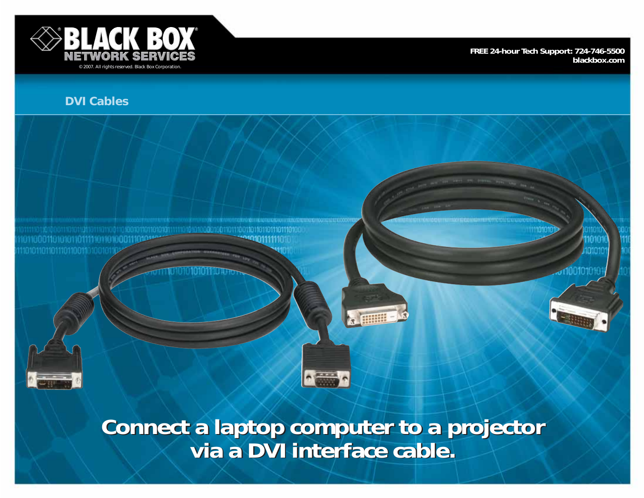

**FREE 24-hour Tech Support: 724-746-5500 blackbox.com**

# **DVI Cables**

101100011010101101111101101000111 10101101101110110011



**Connect a laptop computer to a projector via a DVI interface cable. Connect a laptop computer to a projector via a DVI interface cable.**

 $\sim$